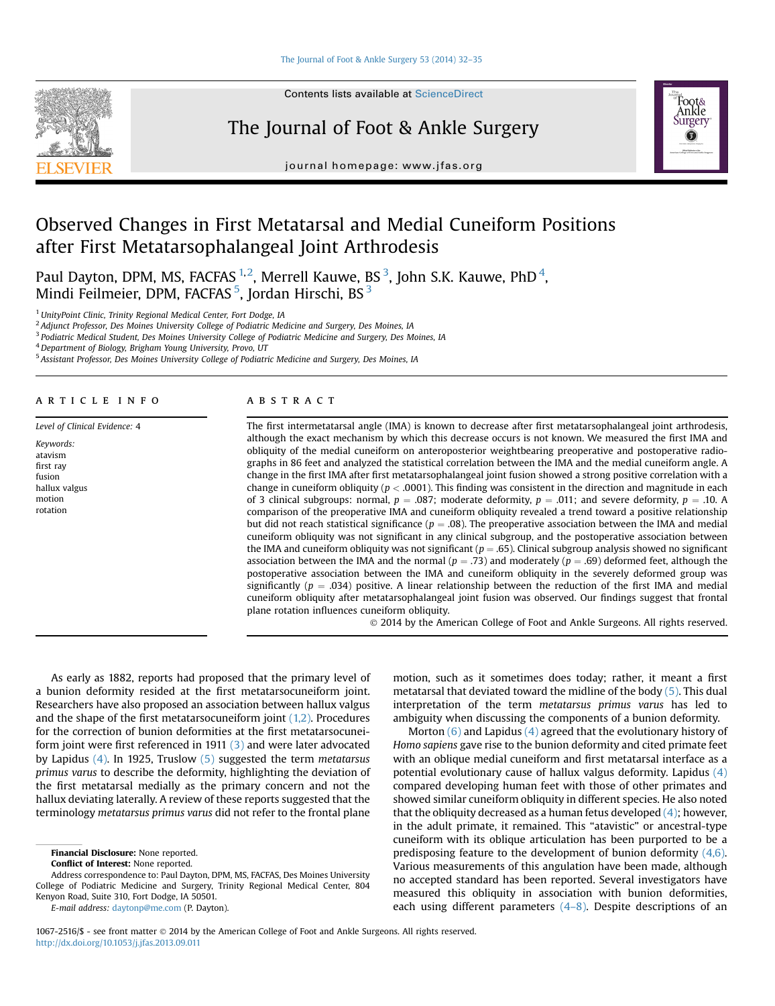

**Contents lists available at ScienceDirect** 

# The Journal of Foot & Ankle Surgery



journal homepage: [www.jfas.org](http://www.jfas.org)

# Observed Changes in First Metatarsal and Medial Cuneiform Positions after First Metatarsophalangeal Joint Arthrodesis

Paul Dayton, DPM, MS, FACFAS  $^{1,2}$ , Merrell Kauwe, BS  $^3$ , John S.K. Kauwe, PhD  $^4$ , Mindi Feilmeier, DPM, FACFAS<sup>5</sup>, Jordan Hirschi, BS<sup>3</sup>

<sup>1</sup> UnityPoint Clinic, Trinity Regional Medical Center, Fort Dodge, IA

<sup>2</sup> Adjunct Professor, Des Moines University College of Podiatric Medicine and Surgery, Des Moines, IA

<sup>3</sup> Podiatric Medical Student, Des Moines University College of Podiatric Medicine and Surgery, Des Moines, IA

<sup>4</sup>Department of Biology, Brigham Young University, Provo, UT

<sup>5</sup> Assistant Professor, Des Moines University College of Podiatric Medicine and Surgery, Des Moines, IA

#### article info

#### abstract

Level of Clinical Evidence: 4

Keywords: atavism first ray fusion hallux valgus motion rotation

The first intermetatarsal angle (IMA) is known to decrease after first metatarsophalangeal joint arthrodesis, although the exact mechanism by which this decrease occurs is not known. We measured the first IMA and obliquity of the medial cuneiform on anteroposterior weightbearing preoperative and postoperative radiographs in 86 feet and analyzed the statistical correlation between the IMA and the medial cuneiform angle. A change in the first IMA after first metatarsophalangeal joint fusion showed a strong positive correlation with a change in cuneiform obliquity ( $p < .0001$ ). This finding was consistent in the direction and magnitude in each of 3 clinical subgroups: normal,  $p = .087$ ; moderate deformity,  $p = .011$ ; and severe deformity,  $p = .10$ . A comparison of the preoperative IMA and cuneiform obliquity revealed a trend toward a positive relationship but did not reach statistical significance ( $p = .08$ ). The preoperative association between the IMA and medial cuneiform obliquity was not significant in any clinical subgroup, and the postoperative association between the IMA and cuneiform obliquity was not significant ( $p = .65$ ). Clinical subgroup analysis showed no significant association between the IMA and the normal ( $p = .73$ ) and moderately ( $p = .69$ ) deformed feet, although the postoperative association between the IMA and cuneiform obliquity in the severely deformed group was significantly ( $p = .034$ ) positive. A linear relationship between the reduction of the first IMA and medial cuneiform obliquity after metatarsophalangeal joint fusion was observed. Our findings suggest that frontal plane rotation influences cuneiform obliquity.

2014 by the American College of Foot and Ankle Surgeons. All rights reserved.

As early as 1882, reports had proposed that the primary level of a bunion deformity resided at the first metatarsocuneiform joint. Researchers have also proposed an association between hallux valgus and the shape of the first metatarsocuneiform joint  $(1,2)$ . Procedures for the correction of bunion deformities at the first metatarsocuneiform joint were first referenced in 1911 [\(3\)](#page-3-0) and were later advocated by Lapidus  $(4)$ . In 1925, Truslow  $(5)$  suggested the term *metatarsus* primus varus to describe the deformity, highlighting the deviation of the first metatarsal medially as the primary concern and not the hallux deviating laterally. A review of these reports suggested that the terminology metatarsus primus varus did not refer to the frontal plane

Financial Disclosure: None reported.

Conflict of Interest: None reported.

Address correspondence to: Paul Dayton, DPM, MS, FACFAS, Des Moines University College of Podiatric Medicine and Surgery, Trinity Regional Medical Center, 804 Kenyon Road, Suite 310, Fort Dodge, IA 50501.

E-mail address: [daytonp@me.com](mailto:daytonp@me.com) (P. Dayton).

motion, such as it sometimes does today; rather, it meant a first metatarsal that deviated toward the midline of the body [\(5\)](#page-3-0). This dual interpretation of the term metatarsus primus varus has led to ambiguity when discussing the components of a bunion deformity.

Morton [\(6\)](#page-3-0) and Lapidus [\(4\)](#page-3-0) agreed that the evolutionary history of Homo sapiens gave rise to the bunion deformity and cited primate feet with an oblique medial cuneiform and first metatarsal interface as a potential evolutionary cause of hallux valgus deformity. Lapidus [\(4\)](#page-3-0) compared developing human feet with those of other primates and showed similar cuneiform obliquity in different species. He also noted that the obliquity decreased as a human fetus developed  $(4)$ ; however, in the adult primate, it remained. This "atavistic" or ancestral-type cuneiform with its oblique articulation has been purported to be a predisposing feature to the development of bunion deformity [\(4,6\)](#page-3-0). Various measurements of this angulation have been made, although no accepted standard has been reported. Several investigators have measured this obliquity in association with bunion deformities, each using different parameters [\(4](#page-3-0)–8). Despite descriptions of an

1067-2516/\$ - see front matter  $\circ$  2014 by the American College of Foot and Ankle Surgeons. All rights reserved. <http://dx.doi.org/10.1053/j.jfas.2013.09.011>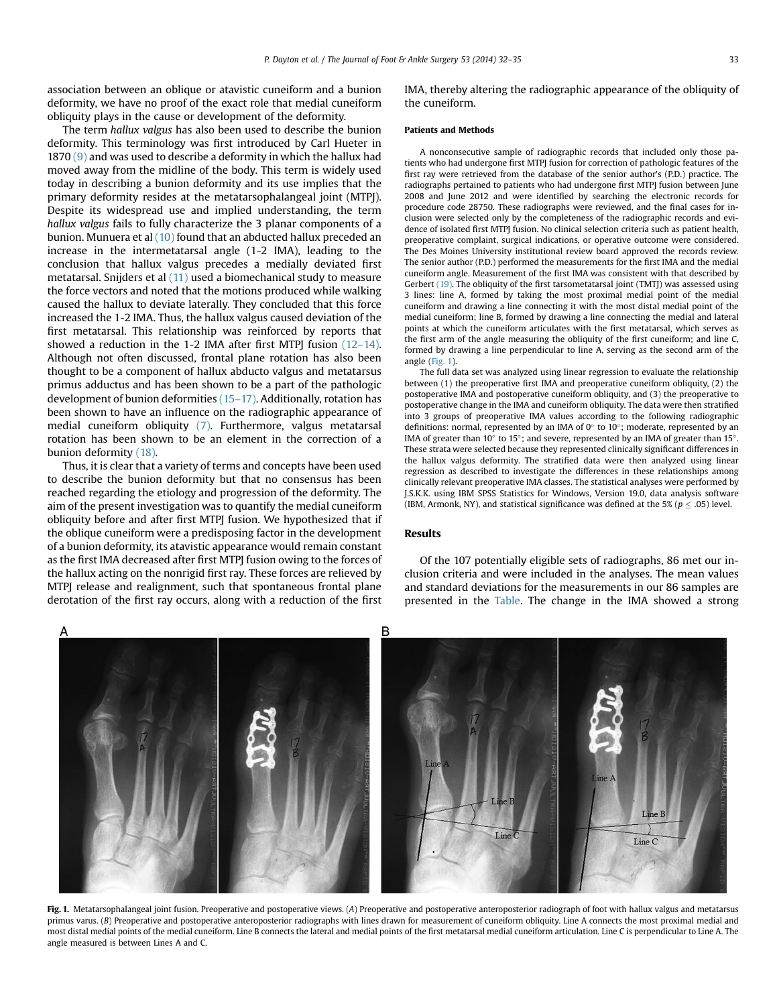association between an oblique or atavistic cuneiform and a bunion deformity, we have no proof of the exact role that medial cuneiform obliquity plays in the cause or development of the deformity.

The term hallux valgus has also been used to describe the bunion deformity. This terminology was first introduced by Carl Hueter in 1870  $(9)$  and was used to describe a deformity in which the hallux had moved away from the midline of the body. This term is widely used today in describing a bunion deformity and its use implies that the primary deformity resides at the metatarsophalangeal joint (MTPJ). Despite its widespread use and implied understanding, the term hallux valgus fails to fully characterize the 3 planar components of a bunion. Munuera et al [\(10\)](#page-3-0) found that an abducted hallux preceded an increase in the intermetatarsal angle (1-2 IMA), leading to the conclusion that hallux valgus precedes a medially deviated first metatarsal. Snijders et al  $(11)$  used a biomechanical study to measure the force vectors and noted that the motions produced while walking caused the hallux to deviate laterally. They concluded that this force increased the 1-2 IMA. Thus, the hallux valgus caused deviation of the first metatarsal. This relationship was reinforced by reports that showed a reduction in the 1-2 IMA after first MTPJ fusion  $(12-14)$  $(12-14)$ . Although not often discussed, frontal plane rotation has also been thought to be a component of hallux abducto valgus and metatarsus primus adductus and has been shown to be a part of the pathologic development of bunion deformities [\(15](#page-3-0)–17). Additionally, rotation has been shown to have an influence on the radiographic appearance of medial cuneiform obliquity [\(7\).](#page-3-0) Furthermore, valgus metatarsal rotation has been shown to be an element in the correction of a bunion deformity [\(18\).](#page-3-0)

Thus, it is clear that a variety of terms and concepts have been used to describe the bunion deformity but that no consensus has been reached regarding the etiology and progression of the deformity. The aim of the present investigation was to quantify the medial cuneiform obliquity before and after first MTPJ fusion. We hypothesized that if the oblique cuneiform were a predisposing factor in the development of a bunion deformity, its atavistic appearance would remain constant as the first IMA decreased after first MTPJ fusion owing to the forces of the hallux acting on the nonrigid first ray. These forces are relieved by MTPJ release and realignment, such that spontaneous frontal plane derotation of the first ray occurs, along with a reduction of the first

IMA, thereby altering the radiographic appearance of the obliquity of the cuneiform.

#### Patients and Methods

A nonconsecutive sample of radiographic records that included only those patients who had undergone first MTPJ fusion for correction of pathologic features of the first ray were retrieved from the database of the senior author's (P.D.) practice. The radiographs pertained to patients who had undergone first MTPJ fusion between June 2008 and June 2012 and were identified by searching the electronic records for procedure code 28750. These radiographs were reviewed, and the final cases for inclusion were selected only by the completeness of the radiographic records and evidence of isolated first MTPJ fusion. No clinical selection criteria such as patient health, preoperative complaint, surgical indications, or operative outcome were considered. The Des Moines University institutional review board approved the records review. The senior author (P.D.) performed the measurements for the first IMA and the medial cuneiform angle. Measurement of the first IMA was consistent with that described by Gerbert [\(19\).](#page-3-0) The obliquity of the first tarsometatarsal joint (TMTJ) was assessed using 3 lines: line A, formed by taking the most proximal medial point of the medial cuneiform and drawing a line connecting it with the most distal medial point of the medial cuneiform; line B, formed by drawing a line connecting the medial and lateral points at which the cuneiform articulates with the first metatarsal, which serves as the first arm of the angle measuring the obliquity of the first cuneiform; and line C, formed by drawing a line perpendicular to line A, serving as the second arm of the angle (Fig. 1).

The full data set was analyzed using linear regression to evaluate the relationship between (1) the preoperative first IMA and preoperative cuneiform obliquity, (2) the postoperative IMA and postoperative cuneiform obliquity, and (3) the preoperative to postoperative change in the IMA and cuneiform obliquity. The data were then stratified into 3 groups of preoperative IMA values according to the following radiographic definitions: normal, represented by an IMA of  $0^{\circ}$  to  $10^{\circ}$ ; moderate, represented by an IMA of greater than 10° to 15°; and severe, represented by an IMA of greater than 15°. These strata were selected because they represented clinically significant differences in the hallux valgus deformity. The stratified data were then analyzed using linear regression as described to investigate the differences in these relationships among clinically relevant preoperative IMA classes. The statistical analyses were performed by J.S.K.K. using IBM SPSS Statistics for Windows, Version 19.0, data analysis software (IBM, Armonk, NY), and statistical significance was defined at the 5% ( $p \le .05$ ) level.

# Results

Of the 107 potentially eligible sets of radiographs, 86 met our inclusion criteria and were included in the analyses. The mean values and standard deviations for the measurements in our 86 samples are presented in the [Table](#page-2-0). The change in the IMA showed a strong



Fig. 1. Metatarsophalangeal joint fusion. Preoperative and postoperative views. (A) Preoperative and postoperative anteroposterior radiograph of foot with hallux valgus and metatarsus primus varus. (B) Preoperative and postoperative anteroposterior radiographs with lines drawn for measurement of cuneiform obliquity. Line A connects the most proximal medial and most distal medial points of the medial cuneiform. Line B connects the lateral and medial points of the first metatarsal medial cuneiform articulation. Line C is perpendicular to Line A. The angle measured is between Lines A and C.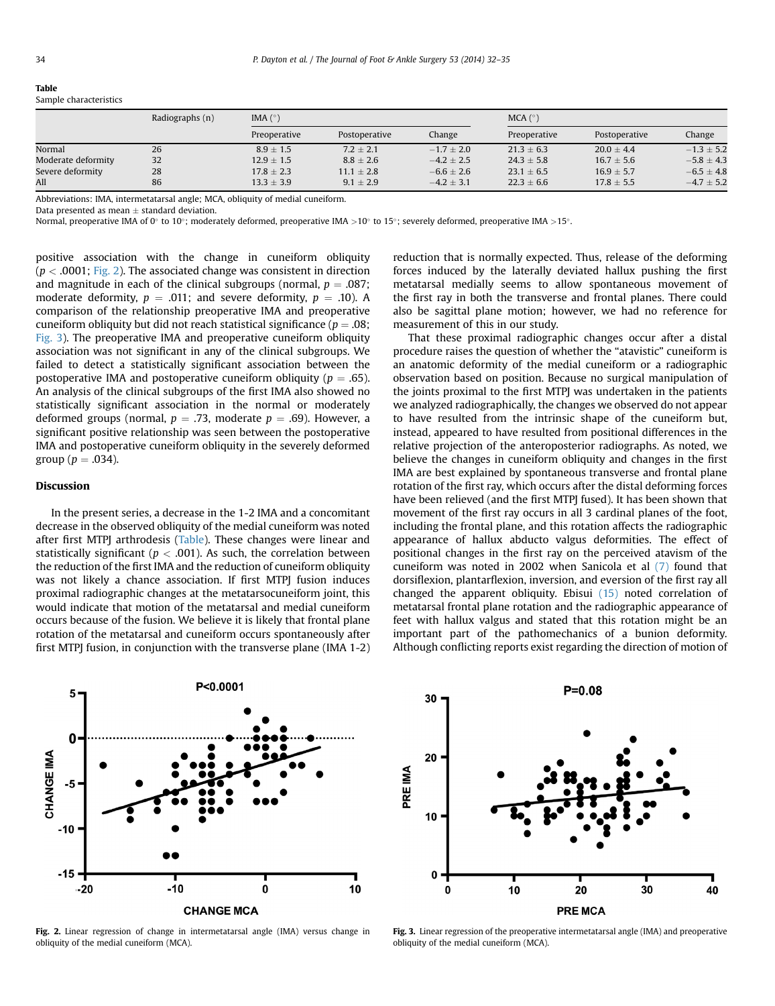<span id="page-2-0"></span>Table

| юш |                        |
|----|------------------------|
|    | Sample characteristics |

|                    | Radiographs (n) | IMA $(°)$      |               |                | $MCA(^{\circ})$ |                |                |
|--------------------|-----------------|----------------|---------------|----------------|-----------------|----------------|----------------|
|                    |                 | Preoperative   | Postoperative | Change         | Preoperative    | Postoperative  | Change         |
| Normal             | 26              | $8.9 \pm 1.5$  | $7.2 \pm 2.1$ | $-1.7 \pm 2.0$ | $21.3 + 6.3$    | $20.0 \pm 4.4$ | $-1.3 \pm 5.2$ |
| Moderate deformity | 32              | $12.9 \pm 1.5$ | $8.8 \pm 2.6$ | $-4.2 \pm 2.5$ | $24.3 \pm 5.8$  | $16.7 \pm 5.6$ | $-5.8 \pm 4.3$ |
| Severe deformity   | 28              | $17.8 \pm 2.3$ | $11.1 + 2.8$  | $-6.6 + 2.6$   | $23.1 + 6.5$    | $16.9 \pm 5.7$ | $-6.5 \pm 4.8$ |
| All                | 86              | $13.3 + 3.9$   | $9.1 \pm 2.9$ | $-4.2 + 3.1$   | $22.3 \pm 6.6$  | $17.8 \pm 5.5$ | $-4.7 \pm 5.2$ |

Abbreviations: IMA, intermetatarsal angle; MCA, obliquity of medial cuneiform.

Data presented as mean  $\pm$  standard deviation.

Normal, preoperative IMA of 0° to 10°; moderately deformed, preoperative IMA >10° to 15°; severely deformed, preoperative IMA >15°.

positive association with the change in cuneiform obliquity  $(p < .0001;$  Fig. 2). The associated change was consistent in direction and magnitude in each of the clinical subgroups (normal,  $p = .087$ ; moderate deformity,  $p = .011$ ; and severe deformity,  $p = .10$ ). A comparison of the relationship preoperative IMA and preoperative cuneiform obliquity but did not reach statistical significance ( $p = .08$ ; Fig. 3). The preoperative IMA and preoperative cuneiform obliquity association was not significant in any of the clinical subgroups. We failed to detect a statistically significant association between the postoperative IMA and postoperative cuneiform obliquity ( $p = .65$ ). An analysis of the clinical subgroups of the first IMA also showed no statistically significant association in the normal or moderately deformed groups (normal,  $p = .73$ , moderate  $p = .69$ ). However, a significant positive relationship was seen between the postoperative IMA and postoperative cuneiform obliquity in the severely deformed group ( $p = .034$ ).

## **Discussion**

In the present series, a decrease in the 1-2 IMA and a concomitant decrease in the observed obliquity of the medial cuneiform was noted after first MTPJ arthrodesis (Table). These changes were linear and statistically significant ( $p < .001$ ). As such, the correlation between the reduction of the first IMA and the reduction of cuneiform obliquity was not likely a chance association. If first MTPJ fusion induces proximal radiographic changes at the metatarsocuneiform joint, this would indicate that motion of the metatarsal and medial cuneiform occurs because of the fusion. We believe it is likely that frontal plane rotation of the metatarsal and cuneiform occurs spontaneously after first MTPJ fusion, in conjunction with the transverse plane (IMA 1-2)



Fig. 2. Linear regression of change in intermetatarsal angle (IMA) versus change in obliquity of the medial cuneiform (MCA).

reduction that is normally expected. Thus, release of the deforming forces induced by the laterally deviated hallux pushing the first metatarsal medially seems to allow spontaneous movement of the first ray in both the transverse and frontal planes. There could also be sagittal plane motion; however, we had no reference for measurement of this in our study.

That these proximal radiographic changes occur after a distal procedure raises the question of whether the "atavistic" cuneiform is an anatomic deformity of the medial cuneiform or a radiographic observation based on position. Because no surgical manipulation of the joints proximal to the first MTPJ was undertaken in the patients we analyzed radiographically, the changes we observed do not appear to have resulted from the intrinsic shape of the cuneiform but, instead, appeared to have resulted from positional differences in the relative projection of the anteroposterior radiographs. As noted, we believe the changes in cuneiform obliquity and changes in the first IMA are best explained by spontaneous transverse and frontal plane rotation of the first ray, which occurs after the distal deforming forces have been relieved (and the first MTPJ fused). It has been shown that movement of the first ray occurs in all 3 cardinal planes of the foot, including the frontal plane, and this rotation affects the radiographic appearance of hallux abducto valgus deformities. The effect of positional changes in the first ray on the perceived atavism of the cuneiform was noted in 2002 when Sanicola et al [\(7\)](#page-3-0) found that dorsiflexion, plantarflexion, inversion, and eversion of the first ray all changed the apparent obliquity. Ebisui [\(15\)](#page-3-0) noted correlation of metatarsal frontal plane rotation and the radiographic appearance of feet with hallux valgus and stated that this rotation might be an important part of the pathomechanics of a bunion deformity. Although conflicting reports exist regarding the direction of motion of



Fig. 3. Linear regression of the preoperative intermetatarsal angle (IMA) and preoperative obliquity of the medial cuneiform (MCA).